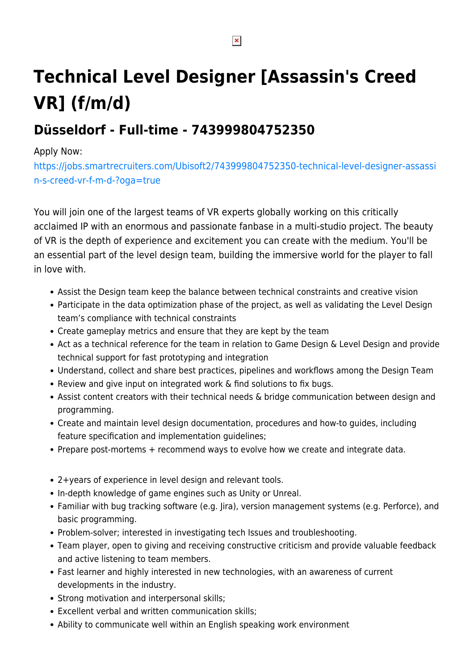## **Technical Level Designer [Assassin's Creed VR] (f/m/d)**

## **Düsseldorf - Full-time - 743999804752350**

## Apply Now:

[https://jobs.smartrecruiters.com/Ubisoft2/743999804752350-technical-level-designer-assassi](https://jobs.smartrecruiters.com/Ubisoft2/743999804752350-technical-level-designer-assassin-s-creed-vr-f-m-d-?oga=true) [n-s-creed-vr-f-m-d-?oga=true](https://jobs.smartrecruiters.com/Ubisoft2/743999804752350-technical-level-designer-assassin-s-creed-vr-f-m-d-?oga=true)

You will join one of the largest teams of VR experts globally working on this critically acclaimed IP with an enormous and passionate fanbase in a multi-studio project. The beauty of VR is the depth of experience and excitement you can create with the medium. You'll be an essential part of the level design team, building the immersive world for the player to fall in love with.

- Assist the Design team keep the balance between technical constraints and creative vision
- Participate in the data optimization phase of the project, as well as validating the Level Design team's compliance with technical constraints
- Create gameplay metrics and ensure that they are kept by the team
- Act as a technical reference for the team in relation to Game Design & Level Design and provide technical support for fast prototyping and integration
- Understand, collect and share best practices, pipelines and workflows among the Design Team
- Review and give input on integrated work & find solutions to fix bugs.
- Assist content creators with their technical needs & bridge communication between design and programming.
- Create and maintain level design documentation, procedures and how-to guides, including feature specification and implementation guidelines;
- Prepare post-mortems + recommend ways to evolve how we create and integrate data.
- 2+years of experience in level design and relevant tools.
- In-depth knowledge of game engines such as Unity or Unreal.
- Familiar with bug tracking software (e.g. Jira), version management systems (e.g. Perforce), and basic programming.
- Problem-solver; interested in investigating tech Issues and troubleshooting.
- Team player, open to giving and receiving constructive criticism and provide valuable feedback and active listening to team members.
- Fast learner and highly interested in new technologies, with an awareness of current developments in the industry.
- Strong motivation and interpersonal skills;
- Excellent verbal and written communication skills;
- Ability to communicate well within an English speaking work environment

 $\pmb{\times}$